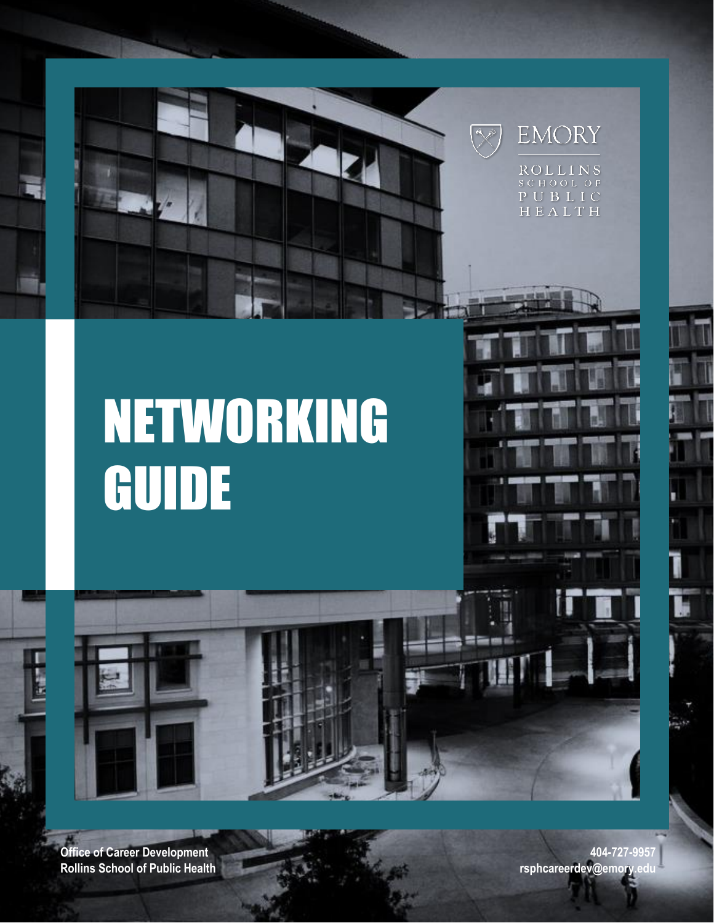



**ROLLINS** SCHOOL OF PUBLIC HEALTH

# NETWORKING GUIDE



**Office of Career Development Rollins School of Public Health**

**404-727-9957 [rsphcareerdev@emory.edu](mailto:rsphcareerdev@emory.edu)**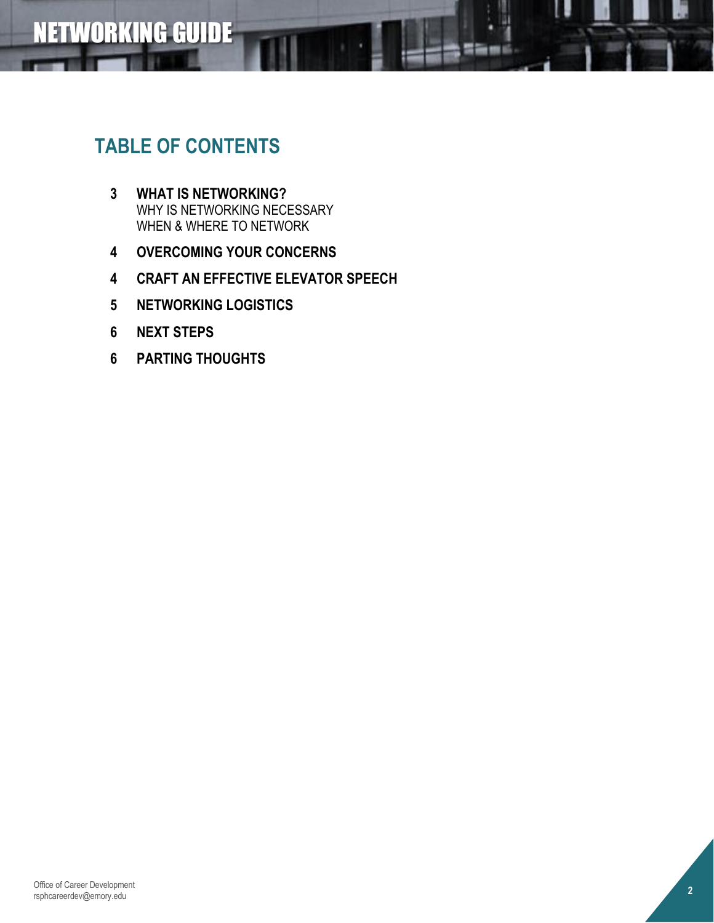# **TABLE OF CONTENTS**

- **3 WHAT IS NETWORKING?** WHY IS NETWORKING NECESSARY WHEN & WHERE TO NETWORK
- **4 OVERCOMING YOUR CONCERNS**
- **4 CRAFT AN EFFECTIVE ELEVATOR SPEECH**
- **5 NETWORKING LOGISTICS**
- **6 NEXT STEPS**
- **6 PARTING THOUGHTS**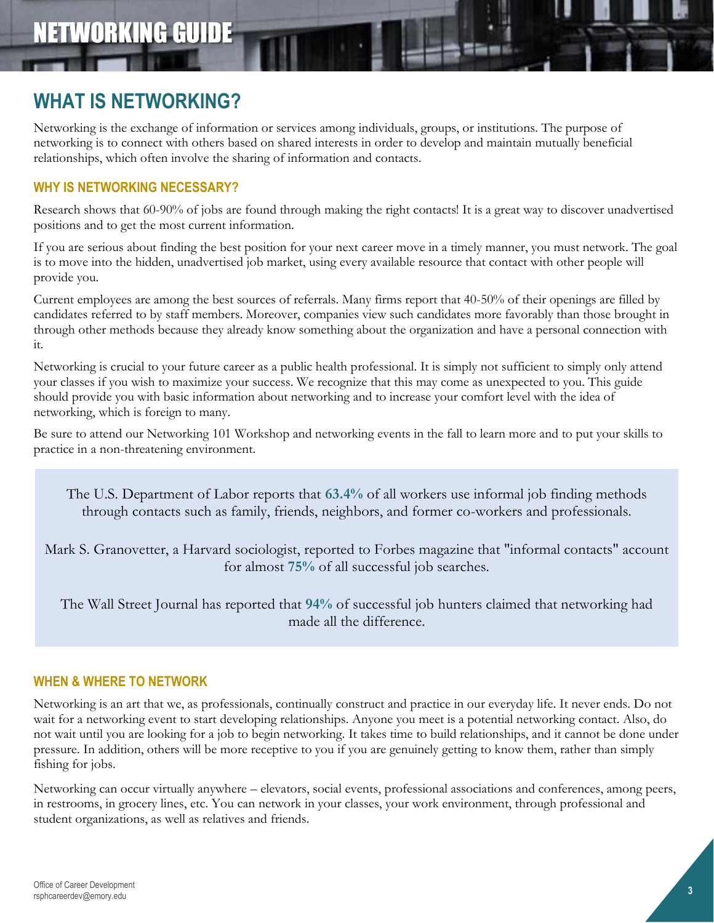### **WHAT IS NETWORKING?**

Networking is the exchange of information or services among individuals, groups, or institutions. The purpose of networking is to connect with others based on shared interests in order to develop and maintain mutually beneficial relationships, which often involve the sharing of information and contacts.

### **WHY IS NETWORKING NECESSARY?**

Research shows that 60-90% of jobs are found through making the right contacts! It is a great way to discover unadvertised positions and to get the most current information.

If you are serious about finding the best position for your next career move in a timely manner, you must network. The goal is to move into the hidden, unadvertised job market, using every available resource that contact with other people will provide you.

Current employees are among the best sources of referrals. Many firms report that 40-50% of their openings are filled by candidates referred to by staff members. Moreover, companies view such candidates more favorably than those brought in through other methods because they already know something about the organization and have a personal connection with it.

Networking is crucial to your future career as a public health professional. It is simply not sufficient to simply only attend your classes if you wish to maximize your success. We recognize that this may come as unexpected to you. This guide should provide you with basic information about networking and to increase your comfort level with the idea of networking, which is foreign to many.

Be sure to attend our Networking 101 Workshop and networking events in the fall to learn more and to put your skills to practice in a non-threatening environment.

The U.S. Department of Labor reports that **63.4%** of all workers use informal job finding methods through contacts such as family, friends, neighbors, and former co-workers and professionals.

Mark S. Granovetter, a Harvard sociologist, reported to Forbes magazine that "informal contacts" account for almost **75%** of all successful job searches.

The Wall Street Journal has reported that **94%** of successful job hunters claimed that networking had made all the difference.

### **WHEN & WHERE TO NETWORK**

Networking is an art that we, as professionals, continually construct and practice in our everyday life. It never ends. Do not wait for a networking event to start developing relationships. Anyone you meet is a potential networking contact. Also, do not wait until you are looking for a job to begin networking. It takes time to build relationships, and it cannot be done under pressure. In addition, others will be more receptive to you if you are genuinely getting to know them, rather than simply fishing for jobs.

Networking can occur virtually anywhere – elevators, social events, professional associations and conferences, among peers, in restrooms, in grocery lines, etc. You can network in your classes, your work environment, through professional and student organizations, as well as relatives and friends.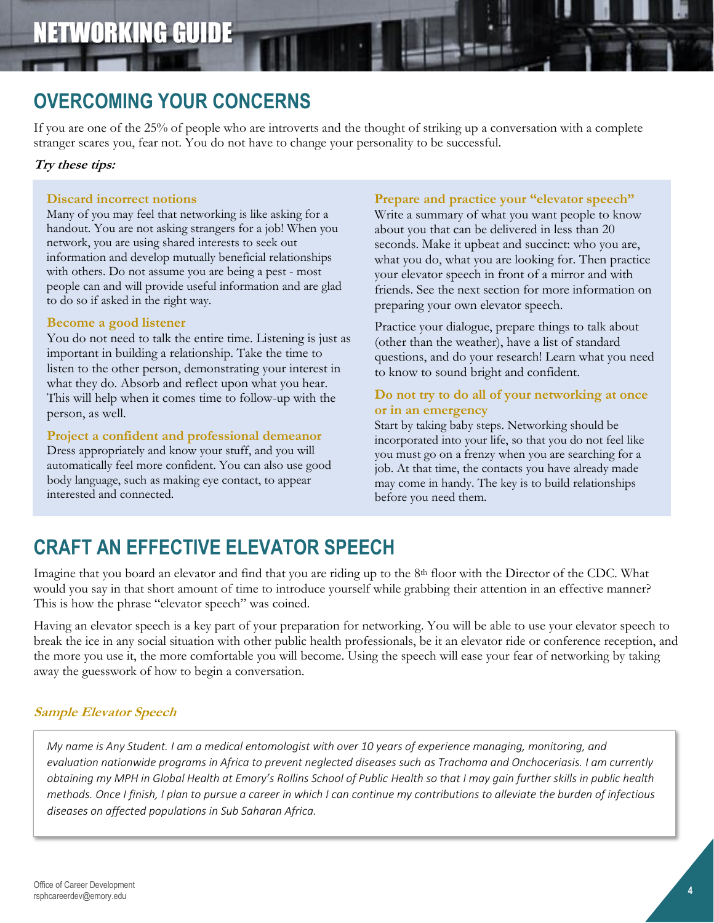# **OVERCOMING YOUR CONCERNS**

If you are one of the 25% of people who are introverts and the thought of striking up a conversation with a complete stranger scares you, fear not. You do not have to change your personality to be successful.

### **Try these tips:**

#### **Discard incorrect notions**

Many of you may feel that networking is like asking for a handout. You are not asking strangers for a job! When you network, you are using shared interests to seek out information and develop mutually beneficial relationships with others. Do not assume you are being a pest - most people can and will provide useful information and are glad to do so if asked in the right way.

### **Become a good listener**

You do not need to talk the entire time. Listening is just as important in building a relationship. Take the time to listen to the other person, demonstrating your interest in what they do. Absorb and reflect upon what you hear. This will help when it comes time to follow-up with the person, as well.

#### **Project a confident and professional demeanor**

Dress appropriately and know your stuff, and you will automatically feel more confident. You can also use good body language, such as making eye contact, to appear interested and connected.

### **Prepare and practice your "elevator speech"**

Write a summary of what you want people to know about you that can be delivered in less than 20 seconds. Make it upbeat and succinct: who you are, what you do, what you are looking for. Then practice your elevator speech in front of a mirror and with friends. See the next section for more information on preparing your own elevator speech.

Practice your dialogue, prepare things to talk about (other than the weather), have a list of standard questions, and do your research! Learn what you need to know to sound bright and confident.

### **Do not try to do all of your networking at once or in an emergency**

Start by taking baby steps. Networking should be incorporated into your life, so that you do not feel like you must go on a frenzy when you are searching for a job. At that time, the contacts you have already made may come in handy. The key is to build relationships before you need them.

# **CRAFT AN EFFECTIVE ELEVATOR SPEECH**

Imagine that you board an elevator and find that you are riding up to the 8<sup>th</sup> floor with the Director of the CDC. What would you say in that short amount of time to introduce yourself while grabbing their attention in an effective manner? This is how the phrase "elevator speech" was coined.

Having an elevator speech is a key part of your preparation for networking. You will be able to use your elevator speech to break the ice in any social situation with other public health professionals, be it an elevator ride or conference reception, and the more you use it, the more comfortable you will become. Using the speech will ease your fear of networking by taking away the guesswork of how to begin a conversation.

### **Sample Elevator Speech**

*My name is Any Student. I am a medical entomologist with over 10 years of experience managing, monitoring, and evaluation nationwide programs in Africa to prevent neglected diseases such as Trachoma and Onchoceriasis. I am currently obtaining my MPH in Global Health at Emory's Rollins School of Public Health so that I may gain further skills in public health methods. Once I finish, I plan to pursue a career in which I can continue my contributions to alleviate the burden of infectious diseases on affected populations in Sub Saharan Africa.*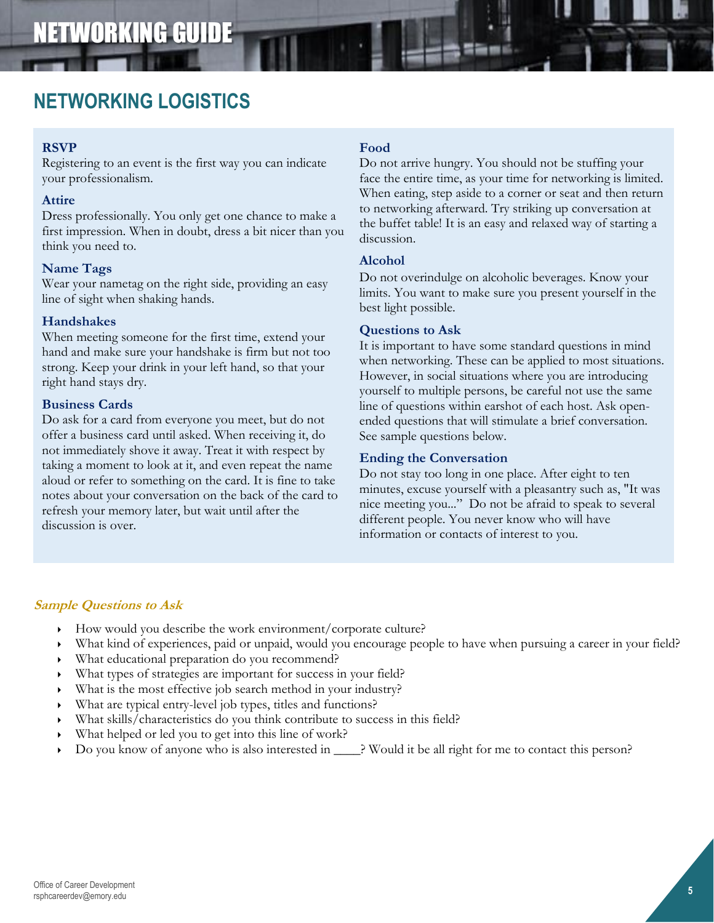### **NETWORKING LOGISTICS**

### **RSVP**

Registering to an event is the first way you can indicate your professionalism.

### **Attire**

Dress professionally. You only get one chance to make a first impression. When in doubt, dress a bit nicer than you think you need to.

### **Name Tags**

Wear your nametag on the right side, providing an easy line of sight when shaking hands.

### **Handshakes**

When meeting someone for the first time, extend your hand and make sure your handshake is firm but not too strong. Keep your drink in your left hand, so that your right hand stays dry.

#### **Business Cards**

Do ask for a card from everyone you meet, but do not offer a business card until asked. When receiving it, do not immediately shove it away. Treat it with respect by taking a moment to look at it, and even repeat the name aloud or refer to something on the card. It is fine to take notes about your conversation on the back of the card to refresh your memory later, but wait until after the discussion is over.

### **Food**

Do not arrive hungry. You should not be stuffing your face the entire time, as your time for networking is limited. When eating, step aside to a corner or seat and then return to networking afterward. Try striking up conversation at the buffet table! It is an easy and relaxed way of starting a discussion.

### **Alcohol**

Do not overindulge on alcoholic beverages. Know your limits. You want to make sure you present yourself in the best light possible.

### **Questions to Ask**

It is important to have some standard questions in mind when networking. These can be applied to most situations. However, in social situations where you are introducing yourself to multiple persons, be careful not use the same line of questions within earshot of each host. Ask openended questions that will stimulate a brief conversation. See sample questions below.

### **Ending the Conversation**

Do not stay too long in one place. After eight to ten minutes, excuse yourself with a pleasantry such as, "It was nice meeting you..." Do not be afraid to speak to several different people. You never know who will have information or contacts of interest to you.

### **Sample Questions to Ask**

- How would you describe the work environment/corporate culture?
- What kind of experiences, paid or unpaid, would you encourage people to have when pursuing a career in your field?
- What educational preparation do you recommend?
- What types of strategies are important for success in your field?
- What is the most effective job search method in your industry?
- What are typical entry-level job types, titles and functions?
- What skills/characteristics do you think contribute to success in this field?
- What helped or led you to get into this line of work?
- Do you know of anyone who is also interested in \_\_\_\_? Would it be all right for me to contact this person?